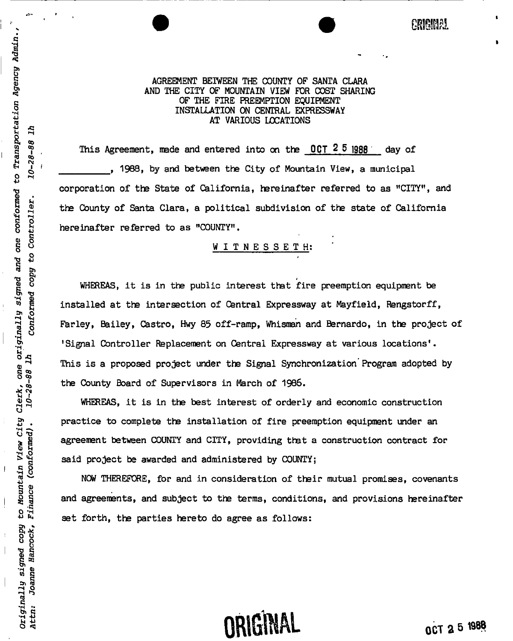AGREEMENT BETWEEN THE COUNTY OF SANTA CLARA AND THE CITY OF MOUNTAIN VIEW FOR COST SHARING OF THE FIRE PREEMPTION EQUIPMENT INSTALLATION ON CENTRAL EXPRESSWAY AT VARIOUS LOCATIONS

This Agreement, made and entered into on the 0CT 2 5 1988 day of , 1988, by and between the City of Mountain View, a municipal corporation of the State of California, hereinafter referred to as "CITY", and the County of Santa Clara, a political subdivision of the state of California hereinafter referred to as "COUNTY".

## <u>WITNESSETH</u>:

WHEREAS, it is in the public interest that fire preemption equipment be installed at the intersection of Central Expressway at Mayfield, Rengstorff, Farley, Bailey, Castro, Hwy 85 off-ramp, Whisman and Bernardo, in the project of 'Signal Controller Replacement on Central Expressway at various locations'. This is a proposed project under the Signal Synchronization'Program adopted by the County Board of Supervisors in March of 1986.

WHEREAS, it is in the best interest of orderly and economic construction practice to complete the installation of fire preemption equipment under an agreement between COUNTY and CITY, providing that a construction contract for said project be awarded and administered by COUNTY;

NOW THEREFORE, for and in consideration of their mutual promises, covenants and agreements, and subject to the terms, conditions, and provisions hereinafter set forth, the parties hereto do agree as follows:

# **ORIGINAL** ACT 2 5 1988

*mmn*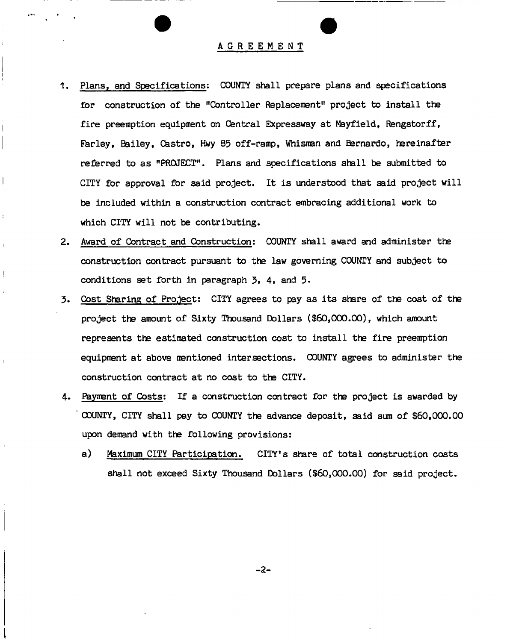### AGREEMEN T

Plans, and Specifications: COUNTY shall prepare plans and specifications for construction of the "Controller Replacement" project to install the fire preemption equipment on Central Expressway at MayfieId, Rengstorff, Farley, Bailey, Castro, Hwy 85 off-ramp, Whisman and Bernardo, hereinafter referred to as "PROJECT". Plans and specifications shall be submitted to CITY for approval for said project. It is understood that said project will be included within a construction contract embracing additional work to which CITY will not be contributing.

 $\overline{\phantom{a}}$ 

ł

- Award of Contract and Construction: COUNTY shall award and administer the construction contract pursuant to the law governing COUNTY and subject to conditions set forth in paragraph *<sup>3</sup><sup>t</sup> 4,* and 5.
- Cost Sharing of Project: CITY agrees to pay as its share of the cost of the project the amount of Sixty Thousand Dollars (\$60,000.00), which amount represents tha estimated construction cost to install the fire preemption equipment at above mentioned intersections. COUNTY agrees to administer the construction contract at no cost to the CITY.
- 4. Payment of Costs: If a construction contract for the project is awarded by ' COUNTY, CITY shall pay to COUNTY the advance deposit, said sum of \$60,000.00 upon demand with the following provisions:
	- a) Maximum CITY Participation. CITY'S share of total construction costs shall not exceed Sixty Thousand Dollars (\$60,000.00) for said project.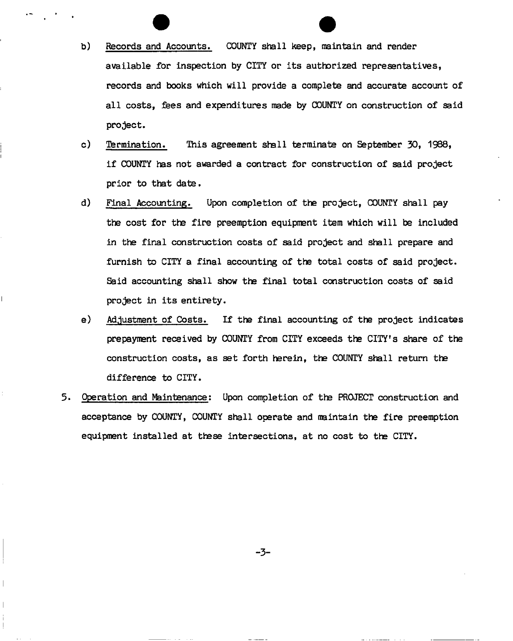- b) Records and Accounts. COUNTY shall keep, maintain and render available for inspection by CITY or its authorized representatives, records and books which will provide a complete and accurate account of all costs, fees and expenditures made by COUNTY on construction of said project.
- c) Termination. This agreement shall terminate on September 30, 1988, if COUNTY has not awarded a contract for construction of said project prior to that date.
- d) Final Accounting. Upon completion of the project, COUNTY shall pay the cost for the fire preemption equipment item which will be included in the final construction costs of said project and shall prepare and furnish to CITY a final accounting of the total costs of said project. Said accounting shall show the final total construction costs of said project in its entirety.
- e) Adjustment of Costs. If the final accounting of the project indicates prepayment received by COUNTY from CITY exceeds the CITY's share of the construction costs, as set forth herein, the COUNTY shall return the difference to CITY.
- 5. Operation and Maintenance: Upon completion of the PROJECT construction and acceptance by COUNTY, COUNTY shall operate and maintain the fire preemption equipment installed at these intersections, at no cost to the CITY.

**-3-**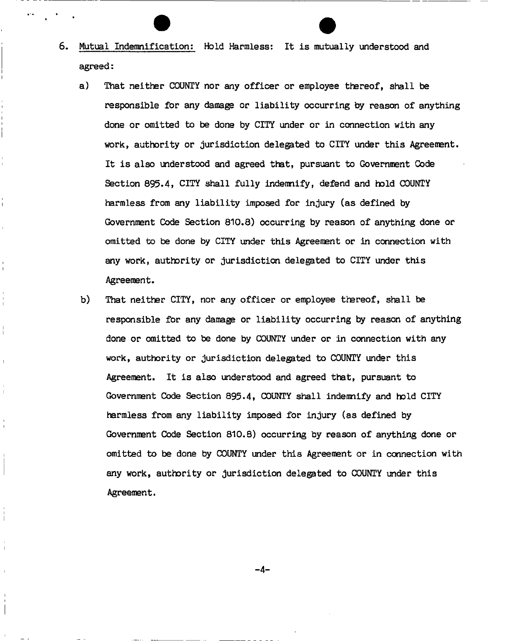- 6. Mutual Indemnification: Hold Harmless: It is mutually understood and agreed:
	- a) That neither COUNTY nor any officer or employee thereof, shall be responsible for any damage or liability occurring by reason of anything done or omitted to be done by CITY under or in connection with any work, authority or jurisdiction delegated to CITY under this Agreement-It is also understood and agreed that, pursuant to Government Code Section 895.4, CITY shall fully indemnify, defend and hold COUNTY harmless from any liability imposed for injury (as defined by Government Code Section 810,8) occurring by reason of anything done or omitted to be done by CITY under this Agreement or in connection with any work, authority or jurisdiction delegated to CITY under this Agreement.

 $\mathbf{r}$ 

b) That neither CITY, nor any officer or employee ttereof, shall be responsible for any damage or liability occurring by reason of anything done or omitted to be done by COUNTY under or in connection with any work, authority or jurisdiction delegated to COUNTY under this Agreement. It is also understood and agreed that, pursuant to Government Code Section 895-4, COUNTY shall indemnify and hold CITY harmless from any liability imposed for injury (as defined by Government Code Section 810.8) occurring by reason of anything done or omitted to be done by COUNTY under this Agreement or in connection with any work, authority or jurisdiction delegated to COUNTY under this Agreement.

**-4-**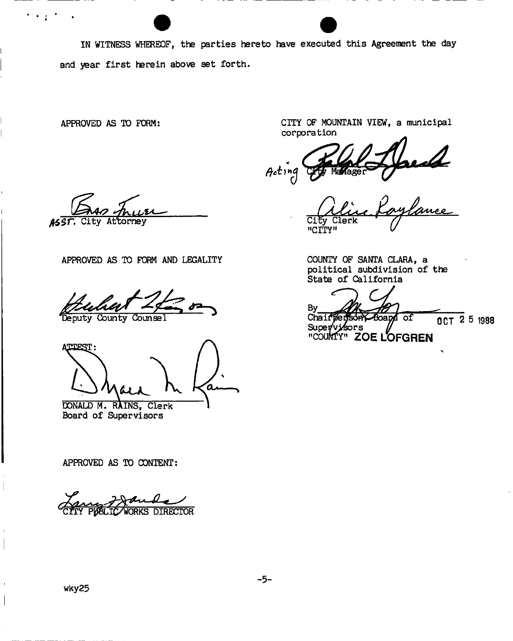IN WITNESS WHEREOF, the parties hereto have executed this Agreement the day and year first herein above set forth.

 $\mathcal{F}(\mathbf{y},\mathbf{y})$ 

 $\ddot{\phantom{a}}$ 

APPROVED AS TO FORM: CITY OF MOUNTAIN VIEW, a municipal corporation

Acting

Caylance "CITY"

*lUZ\** 

torney City Attorney **City Clerk** 

APPROVED AS TO FORM AND LEGALITY

**County** 

**ATTERST** 

DONALD M. RAINS, Clerk Board of Supervisors

APPROVED AS TO CONTENT:

**WORKS DIRECTOR** 

COUNTY OF SANTA CLARA, a political subdivision of the State of California

C By Chairper Boapy of OCT 2 5 1988 Supervi⁄sors **"COUNTY" ZOE LOFGREN** 

wky25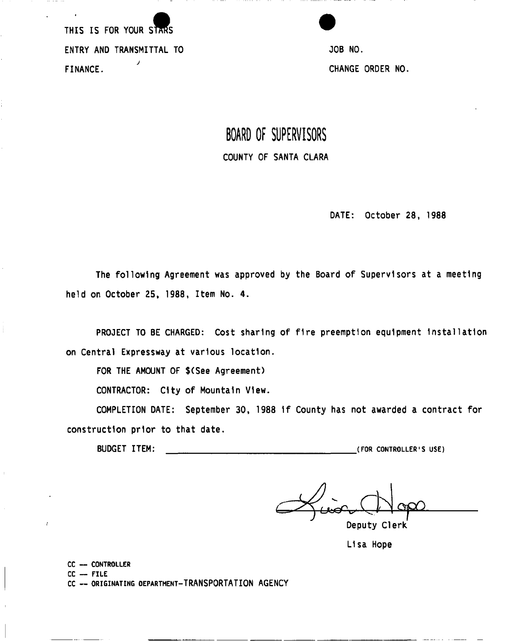THIS IS FOR YOUR STARS ENTRY AND TRANSMITTAL TO **SAULT AND TRANSMITTAL TO** 30B NO. *J*  FINANCE.

# **BOARD OF SUPERVISORS**  COUNTY OF SANTA CLARA

DATE: October 28, 1988

The following Agreement was approved by the Board of Supervisors at a meeting held on October 25, 1988, Item No. 4.

PROJECT TO BE CHARGED: Cost sharing of fire preemption equipment Installation on Central Expressway at various location.

FOR THE AMOUNT OF \$(See Agreement)

CONTRACTOR: City of Mountain View.

COMPLETION DATE: September 30, 1988 1f County has not awarded a contract for construction prior to that date.

BUDGET ITEM: **(FOR CONTROLLER'S USE)** 

Deputy Clerk

Lisa Hope

**CC — CONTROLLER** 

**CC — FILE** 

ŕ

**CC — ORIGINATING DEPARTMENT**-TRANSPORTATION AGENCY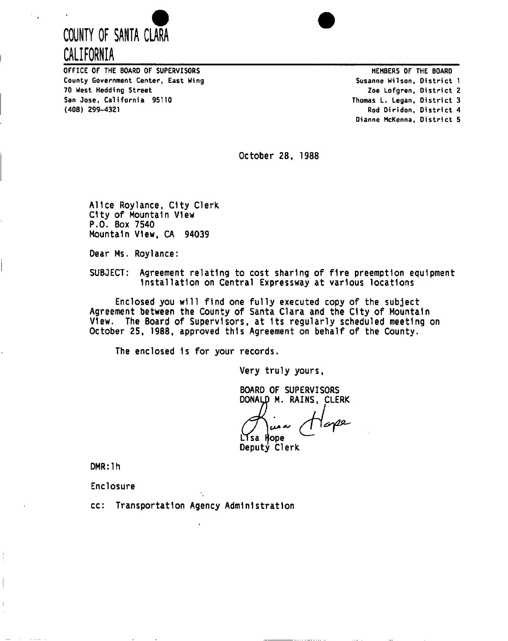



OFFICE OF THE BOARD OF SUPERVISORS AND THE SOLETING THE BOARD MEMBERS OF THE BOARD County Government Center, East Wing Susanne Wilson, District 1 70 West Hedding Street San Jose, California 95110 (408) 299-4321

Zoe Lofgren, District 2 Thomas L. Legan, District 3 Rod Diridon, District 4 Dianne McKenna, District 5

October 28, 1988

Alice Roylance, City Clerk City of Mountain View P.O. Box 7540 Mountain View, CA 94039

Dear Ms. Roylance:

SUBJECT: Agreement relating to cost sharing of fire preemption equipment Installation on Central Expressway at various locations

Enclosed you will find one fully executed copy of the subject Agreement between the County of Santa Clara and the City of Mountain View. The Board of Supervisors, at Its regularly scheduled meeting on October 25, 1988, approved this Agreement on behalf of the County.

The enclosed 1s for your records.

Very truly yours,

BOARD OF SUPERVISORS DONALD M. RAINS, CLERK

lose ر مر Lisa Hope

Deputy Clerk

DMR:lh

Enclosure

cc: Transportation Agency Administration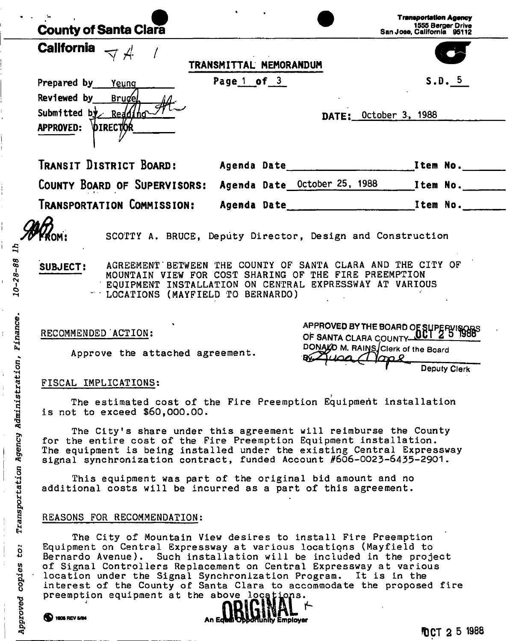| <b>County of Santa Clara</b>                                       |                                    |                                                                                                                                                                                                                                                                                                                                                                                                                             | 1555 Berger Drive<br>San Jose, California 95112 |
|--------------------------------------------------------------------|------------------------------------|-----------------------------------------------------------------------------------------------------------------------------------------------------------------------------------------------------------------------------------------------------------------------------------------------------------------------------------------------------------------------------------------------------------------------------|-------------------------------------------------|
| <b>California</b>                                                  | TRANSMITTAL MEMORANDUM             |                                                                                                                                                                                                                                                                                                                                                                                                                             |                                                 |
| Prepared by Yeung                                                  | Page 1 of 3                        |                                                                                                                                                                                                                                                                                                                                                                                                                             | S.D. 5                                          |
| Reviewed by<br><b>Brugel</b>                                       |                                    |                                                                                                                                                                                                                                                                                                                                                                                                                             |                                                 |
| Submitted by Redding                                               |                                    | DATE: October 3, 1988                                                                                                                                                                                                                                                                                                                                                                                                       |                                                 |
| APPROVED: DIRECTOR                                                 |                                    |                                                                                                                                                                                                                                                                                                                                                                                                                             |                                                 |
| TRANSIT DISTRICT BOARD:                                            |                                    |                                                                                                                                                                                                                                                                                                                                                                                                                             |                                                 |
| COUNTY BOARD OF SUPERVISORS: Agenda Date October 25, 1988 Item No. |                                    |                                                                                                                                                                                                                                                                                                                                                                                                                             |                                                 |
| Transportation Commission:                                         | Agenda Date                        |                                                                                                                                                                                                                                                                                                                                                                                                                             | <b>Example 2018</b> 1 tem No. 2020              |
| SUBJECT:                                                           | " LOCATIONS (MAYFIELD TO BERNARDO) | SCOTTY A. BRUCE, Deputy Director, Design and Construction<br>AGREEMENT BETWEEN THE COUNTY OF SANTA CLARA AND THE CITY OF<br>MOUNTAIN VIEW FOR COST SHARING OF THE FIRE PREEMPTION<br>EQUIPMENT INSTALLATION ON CENTRAL EXPRESSWAY AT VARIOUS                                                                                                                                                                                |                                                 |
| RECOMMENDED ACTION:<br>Approve the attached agreement.             |                                    | APPROVED BY THE BOARD OF SUPERVISO<br>OF SANTA CLARA COUNTY ULL 2<br>DONALD M. RAINS Clerk of the Board                                                                                                                                                                                                                                                                                                                     |                                                 |
|                                                                    |                                    |                                                                                                                                                                                                                                                                                                                                                                                                                             | <b>Deputy Clerk</b>                             |
| FISCAL IMPLICATIONS:<br>is not to exceed \$60,000.00.              |                                    | The estimated cost of the Fire Preemption Equipment installation                                                                                                                                                                                                                                                                                                                                                            |                                                 |
|                                                                    |                                    | The City's share under this agreement will reimburse the County<br>for the entire cost of the Fire Preemption Equipment installation.<br>The equipment is being installed under the existing Central Expressway<br>signal synchronization contract, funded Account #606-0023-6435-2901.                                                                                                                                     |                                                 |
|                                                                    |                                    | This equipment was part of the original bid amount and no<br>additional costs will be incurred as a part of this agreement.                                                                                                                                                                                                                                                                                                 |                                                 |
| REASONS FOR RECOMMENDATION:                                        |                                    |                                                                                                                                                                                                                                                                                                                                                                                                                             |                                                 |
| preemption equipment at the above locations.<br>1906 REV 5/84      |                                    | The City of Mountain View desires to install Fire Preemption<br>Equipment on Central Expressway at various locations (Mayfield to<br>Bernardo Avenue). Such installation will be included in the project<br>of Signal Controllers Replacement on Central Expressway at various<br>location under the Signal Synchronization Program. It is in the<br>interest of the County of Santa Clara to accommodate the proposed fire |                                                 |
|                                                                    | An Edda Obbortunity Employer       |                                                                                                                                                                                                                                                                                                                                                                                                                             | TOCT 2 5 1988                                   |

1990年,1990年,1990年,1990年,1990年,1990年,1990年,1990年,1990年,1990年,1990年,1990年,1990年,1990年,1990年,1990年,1990

 $\begin{array}{c} 1 \\ 1 \\ 1 \\ 1 \end{array}$ 

 $\frac{1}{2}$ 

 $\frac{1}{1}$ 

 $\frac{1}{1}$ 

 $\begin{bmatrix} 1 & 0 & 0 \\ 0 & 1 & 0 \\ 0 & 0 & 0 \\ 0 & 0 & 0 \\ 0 & 0 & 0 \\ 0 & 0 & 0 \\ 0 & 0 & 0 \\ 0 & 0 & 0 \\ 0 & 0 & 0 \\ 0 & 0 & 0 \\ 0 & 0 & 0 \\ 0 & 0 & 0 \\ 0 & 0 & 0 \\ 0 & 0 & 0 & 0 \\ 0 & 0 & 0 & 0 \\ 0 & 0 & 0 & 0 \\ 0 & 0 & 0 & 0 \\ 0 & 0 & 0 & 0 & 0 \\ 0 & 0 & 0 & 0 & 0 \\ 0 & 0 & 0 & 0 & 0 \\ 0 &$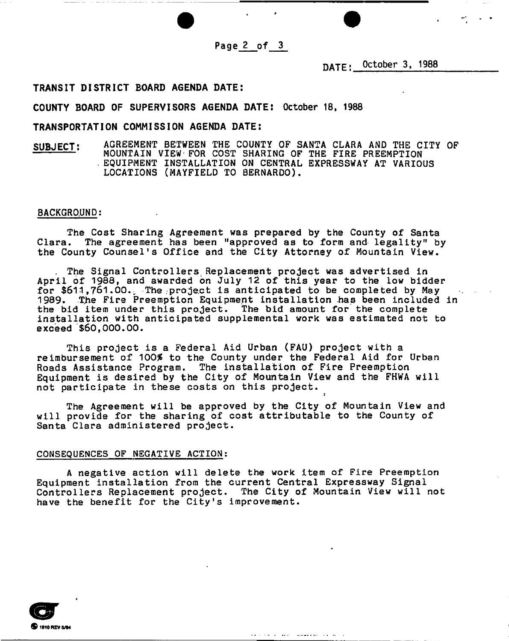**Page 2 of 3** 

**DATE; October 3, 1988** 

## **TRANSIT DISTRICT BOARD AGENDA DATE:**

#### **COUNTY BOARD OF SUPERVISORS AGENDA DATE: October 18, 1988**

### **TRANSPORTATION COMMISSION AGENDA DATE:**

SUBJECT: AGREEMENT BETWEEN THE COUNTY OF SANTA CLARA AND THE CITY OF MOUNTAIN VIEW-FOR COST SHARING OF THE FIRE FREEMPTION<br>FOUTPMENT INSTALLATION ON CENTRAL EXPRESSWAY AT VARIOU . EQUIPMENT INSTALLATION ON CENTRAL EXPRESSMAT AT VARIOUS LOCATIONS (MAYFIELD TO BERNARDO).

#### BACKGROUND:

The Cost Sharing Agreement was prepared by the County of Santa Clara. The agreement has been "approved as to form and legality" by the County Counsel's Office and the City Attorney of Mountain View.

The Signal Controllers Replacement project was advertised in April of 1988, and awarded on July 12 of this year to the low bidder for \$611,761.00. The project is anticipated to be completed by May 1989. The Fire Preemption Equipment installation has been included in the bid item under this project. The bid amount for the complete installation with anticipated supplemental work was estimated not to exceed \$60,000.00.

This project is a Federal Aid Urban (FAU) project with a reimbursement of 100% to the County under the Federal Aid for Urban Roads Assistance Program. The installation of Fire Preemption Equipment is desired by the City of Mountain View and the FHWA will not participate in these costs on this project.

The Agreement will be approved by the City of Mountain View and will provide for the sharing of cost attributable to the County of Santa Clara administered project.

#### CONSEQUENCES OF NEGATIVE ACTION;

A negative action will delete the work item of Fire Preemption Equipment installation from the current Central Expressway Signal Controllers Replacement project. The City of Mountain View will not have the benefit for the City's improvement.

للمناطب المتعاقلة والمستعدد